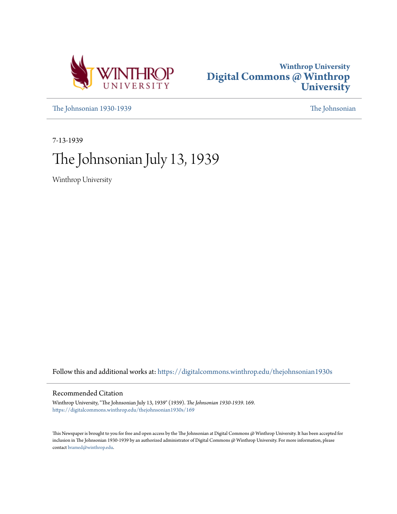



[The Johnsonian 1930-1939](https://digitalcommons.winthrop.edu/thejohnsonian1930s?utm_source=digitalcommons.winthrop.edu%2Fthejohnsonian1930s%2F169&utm_medium=PDF&utm_campaign=PDFCoverPages) [The Johnsonian](https://digitalcommons.winthrop.edu/thejohnsonian_newspaper?utm_source=digitalcommons.winthrop.edu%2Fthejohnsonian1930s%2F169&utm_medium=PDF&utm_campaign=PDFCoverPages)

7-13-1939

# The Johnsonian July 13, 1939

Winthrop University

Follow this and additional works at: [https://digitalcommons.winthrop.edu/thejohnsonian1930s](https://digitalcommons.winthrop.edu/thejohnsonian1930s?utm_source=digitalcommons.winthrop.edu%2Fthejohnsonian1930s%2F169&utm_medium=PDF&utm_campaign=PDFCoverPages)

# Recommended Citation

Winthrop University, "The Johnsonian July 13, 1939" (1939). *The Johnsonian 1930-1939*. 169. [https://digitalcommons.winthrop.edu/thejohnsonian1930s/169](https://digitalcommons.winthrop.edu/thejohnsonian1930s/169?utm_source=digitalcommons.winthrop.edu%2Fthejohnsonian1930s%2F169&utm_medium=PDF&utm_campaign=PDFCoverPages)

This Newspaper is brought to you for free and open access by the The Johnsonian at Digital Commons @ Winthrop University. It has been accepted for inclusion in The Johnsonian 1930-1939 by an authorized administrator of Digital Commons @ Winthrop University. For more information, please contact [bramed@winthrop.edu](mailto:bramed@winthrop.edu).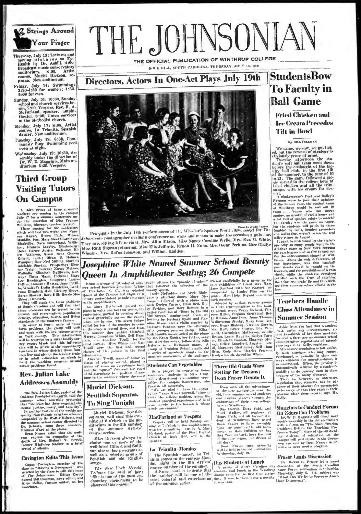

Thursday, July 13: Lectures and nurscasy, sury 133; Lectures and<br>moving p pic tures on Eye<br>Health by Dr. Asbill. 4:00,<br>Broadcast nustic conservatory<br>course. Meriel Dickson, so-<br>prano. New auditorium.

Friday, July 14: Swimming:<br>3:30-4:30 for women; 1:30-5:00 for men.

Sunday, July 16: 10:00, Sunday ginal and church services be-<br>gin, 7:00, Vespers, Rev. R. A.<br>McFarland, speaker, umphi-<br>theater. 8:00, Union services at the Methodist church.

Monday, July 17: 8:00, Artist<br>course, La Trianita, Spanish<br>dancer, New auditorium.

Tuesday, July 18: 6:30, Com-<br>munity Sing Swimming pool<br>open at night.

Wednesday, July 19: 10:30, Assembly under the direction of<br>pr, W. D. Magginls, Main auditorium. 6:30, Vespers.

# **Third Group Visiting Tutors On Campus**

A third group of hor A third group of home examined<br>teachers are couning to the campus<br>July 17 for a nummer conference un-<br>ler the direction of Miss Framer.<br>Williams, hinerant teacher trainer.<br>Which will has the conference<br>examined from the co

which will last two weeks are: Fran-<br>ese Higher, Howeka are: Fran-<br>Staudin, Ivas Nary Neal Cloaninger.<br>Blackwille; Sara Satherland, William Contract Long. Frances Langley. Blacksburg:<br>Helen Carter Auxin, Welsone; El-<br>Knigh Collins, Duncan; starten and colline, Land<br>
10, Woodruff; Lydia Hendricks, Land<br>
ram; Elizabeth Hall, Hickory Grove;<br>
Sarah Stewart, Rock Hill; Bessie Mus

Starts Swart, now time, see over<br>
They vill study the furts problems<br>
They vill study and will find that<br>
these problems can be traced to low<br>
income, sail conservation, population<br>
density, clucation, health, and living<br>

secony, concurant, meant, and lifeting<br>a function of the Southern farmer. In order to beam move of these primitive<br>and work with the low-tensor will varial and work with the low-tensor<br>and work with the low-tensor will be reactions in whose unstruct these train-<br>the libe and also to the teacher train-<br>or in adult education on which to<br>build the teaching program around<br>actual problems found.

### Rev. Julian Lake **Addresses Assembly**

The Rev. Julian Lake, pastor of the Oakland Presbyterian church, told the summer reshold assembly yesterday that "Religion has three exertial the meths: justice, mercy, and humility."<br>In nother teams the meths is increase

riad of silence

### **Covington Edits This Issue**

Cappy Covington, member of the<br>class in "Making a Newspaper", was<br>selected by the class to cdit this issue<br> $d^*$  The Johanovian. Editor Cappy<br>named Bill Colemon, news editor, and<br>Alley Bellis, feature editor, as her<br>assoc

THE JOHNSONIA THE OFFICIAL PUBLICATION OF WINTHROP COLLEGE

ROCK HILL, SOUTH CAROLINA, THURSDAY, JULY 13, 193

Directors, Actors In One-Act Plays July 19th



minn photographer during a conference on ways and means to make the occa sion a gala one They are, sitting left to right, Mrs. Alita Mixon. Miss Nancy Caroline Wylie, Mrs. Eva M. White, Miss Ruth Sigman; standing, Miss Ella Jeffords, Ernest II. Nunn, Mrs. Oscar Perkins, Miss Gladys Wiggins, Mrs. Rufus Johnston, and William Haddon.

# **Josephine White Named Summer School Beauty** Queen In Amphitheater Setting; 26 Compete

Immation.<br>
Angeline Towill, main of honor by a moneme annuasment of the audience<br>
recover of placing second, placed at  $\frac{1}{2}$ <br>
recover of consequent of the audience of the audience<br>
return of the "Queen" followed her c virtue of 25 attendants to a position of van-<br>tage in the audience where the court

**EXERCISE TRAINFORMEMENT DELLIFES 40 CONTRECTS**<br>
From a group of 26 selected sum-1 could witness the "parade of tubent" Pieked unchilibute by a group as the<br>
net zehod beattle starting the method in the last existent line

As a project in practeing hermanics, students in Miss Cr C'rag wall's department are canning veget<br>tables for campus bousewives, who<br>furnish all nativities,

 $\begin{tabular}{ll} \textbf{current} & \textbf{in} & \textbf{in} \\ \textbf{current} & \textbf{in} & \textbf{global} & \textbf{in} \\ \textbf{time} & \textbf{sup} & \textbf{sup} & \textbf{sup} \\ \textbf{time} & \textbf{sup} & \textbf{sup} & \textbf{sub} \\ \textbf{time} & \textbf{sup} & \textbf{sup} & \textbf{sub} \\ \textbf{time} & \textbf{sub} & \textbf{sub} & \textbf{sub} \\ \textbf{time} & \textbf{sub} & \textbf{sub} \\ \textbf{time} & \textbf{sub} & \textbf{sub} \\ \textbf{time} & \text$ 

### MacFarland at Vespers

cancer as statut at a vest per statut of the set of the simple<br>with a reception of the simple of the simple of the simple<br>difference permitting. The R. A. Mac Parkind, partner of the First Baptist<br>chards of Rock Hill, will

### La Trianita Monday

La Trianita Monday<br>
The Spanish dance, La Tri-<br>
units centre to the campus Mon-<br>
day night In the 6th Artists'<br>
course number of the sammer.<br>
Advance nucleis indicate that<br>
the namber will be one of the domester<br>
the namb of the summer series.

### **Three Old Grads Want Setting for Dreams: Dean Fraser Grants It**

Even with all the advantages

Even with all the advantages of the new and<br>intermediation over the distribution of the new and<br>interval and their own collected students and bought because the<br>distribution of their own collections of the state of<br> $\mu_{\rm$ 

### Day Students at Lunch

A group of North Carolina day<br>students had lunch in the Winthrop<br>drame root for the first time yester-<br>them, to them, quite a morelly,<br>it was said.

# **StudentsBow To Faculty in Ball Game**

**Fried Chicken and Lee Cream Precedes Tilt in Bowl** 

### By BILL COLEMAN

 $\mu$  out, vucasion<br>we can be cannot be exampled to the control of strategy is<br>chiving the prevale of strategy is<br>chiving prace of mind. The strategy afternoon the state<br>in Tasselv after label than went down<br>intry ball clu

namply, with an excess and Bailey's<br>refl. T Shake-quarter, Pagk and Bailey's<br>Barnam were to pad their options<br>of Winthrop would be well out in<br>of Winthrop would be well out in<br>against an arraful of credit boundary<br>against

against an arratual of reedit houts and the state in the characteristic The facedly wore the land the state of the function of the function of the function of the function of the proof of the state of the state of the sta

# **Teachers Haudle Class Attendance in Summer Session**

Ashle from the fact that a student

As<br>he from the fact that a student main of uncertainty and the fact that is under<br>the total two-didring of the class mectange for class mechanic school<br>interactive regulations of attendance experiment state is defined in<br>

sence ofter their return, says Kelly.

### **Magginis to Conduct Forum On Education Problems**

[On Education Frontents will direct next<br>needs assumed in the secondary of the secondary in the order of the<br>distribution with a form on the property of the secondary of<br>property of the secondary of the secondary of the s

### **Fraser Leads Discussion**

It Mownt G. Fraser led a panel .ti macasson ar yne soarn Caroma<br>State Forum convention in Columbia,<br>Thorsday, July 6, Alis subject was<br>"What Can We Du to Preserve Amer-Th lican 1b marracy

# Muriel Dickson. Scottish Soprano. To Sing Tonight

Muriel Dickson, Scottish source will sing this eve-<br>ning at 8 o'clock in the aum in the 5th number ditor Artists' миниег ъf. the course series.

Miss Dickson always includes one or more of the<br>well-loved Gilbert and Sullivan airs on her programs as<br>well as a selected group of<br>Scottish and old English sonsos.

The New York Herald-<br>Tribune has said of her:<br>"She is one of the most enchanting phenomena to be<br>observed this senson."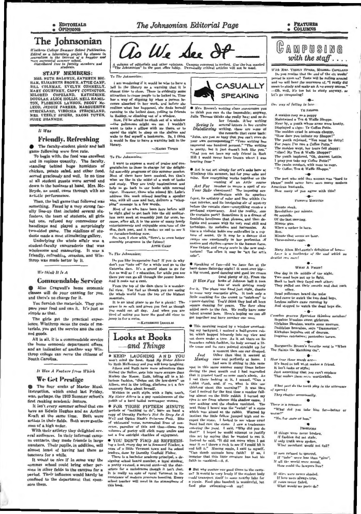# The Johnsonian Editorial Page

#### **FRATURES COLUMNS**

# The Johnsonian

 $\label{thm:main} With any College Summer School \textit{ Philosophical} and \textit{Balification}. \textit{Ralited as a laboratory project by classes in your radiation in the hierarchy of a kappler and more accessed at a more school. \textit{Dalrichated free of calculus members and \textit{Dalrichated free aluedrata.} }$ 

# **STAFF MEMBERS:**

MRS. RUTH BALDWIN, KATHRYN BIG-MES. RUTH BALDWIN, KATHEYN BIG-<br>HAM, ELIZABETH BROWN, ATTIE CAMP,<br>BILL COLEMAN, EVELYN CONNELLY,<br>MARY COURTREY, CAPPY COVINGTON,<br>MILDRED COPELAND, KATHERINE,<br>DOUGLAS, ALICE HOLLIS, NELL HAMIL-LEOD. STRICKLAND, VIRGINIA STRICKLAND, MRS. VEZELY SPIERS, NAOMI TUTEN, **SUSIE SHANNON.** 

### $12$  Was

### **Friendly, Refreshing**

The faculty-student picnic and ball game following were first rate.

To begin with, the food was excellent and in copious quantity. The faculty standing behind huge humidors of chicken, potato salad, and other food, served graciously and well. In no time at all student guests were served and down to the business at hand. Mrs. Mc-Bryde, as usual, came through with an artistic performance.

Then, the ball game that followed was mething. Faced by a very strong faculty line-up that included several six footers, the team of students, all girls but one, refused any concessions of handicaps and played a surprisingly<br>two-sided game. The sidelines of stu-<br>dents made a most stimulating gallery.

Underlying the whole affair was a student-faculty camaraderie that was wholesome and reassuring. It was a friendly, refreshing occasion, and Winthrop was made better by it.

### We think It In A

#### **Commendable Service**

Miss Cragwall's home economic sses will do your canning for you and there's no charge for it.

You furnish the materials. They pre pare your food and can it. It's just as simple as that.

The girls get the practical experience, Winthrop saves the costs of ma terials, you get the service and the can ned goods

All in all, it is a commendable service the home economic department offers and an indication of another way Win throp college can serve the citizens of South Carolina

It Was A Feature from Which

### We Get Prestige

The four weeks of Master Music instruction, which ended last Friday was, perhaps, the 1939 Summer school's first ranking academic feature

It isn't every summer school that can have an Edwin Hughes and an Arthur Kraft at the same time. Both were artists in their fields. Both were gentle men of a high order

With their artistry they delighted sev eral audiences. In their informal camp us contacts, they made friends in large numbers. Their pupils, in addition, wil almust boast of having had them a teachers for a while

It would be nice if in some way the summer school could bring other per sons in other fields to the campus for a period. Their influence would hardly be confined to the department that spon sors them



A culumn of editorials and other opinions. Campus comment is invited. Use the bus suarked<br>"The Johnsonian" in the post office lobby. Personally critical articles will not be used.

To The Johnsonian:

am wondering if it would be wise to have a bell in the library as a warning that it la<br>almost time to close. There is evidently some attraction to cause people to be locked in. Time nitractively to cause people to be locked in. The<br>has a way of slipping by when a person be-<br>conves absorbed in her work, and before she<br>realizes what has happened, she finds berself<br>running to the locked door, yelling to

in Roddey, or etimbing out of a window.<br>
Now, N be afraid to climb out of a window<br>
—the policensan might see me. 1 wouldn't<br>
want to take a pllow with me there, or to<br>
spend the night to skeep on the abelyes and<br>
wake to it would be fine to have a warning bell in the library.

-NAOMI TITEN

### To The Johnmuian:

I want to express a word of prais gratulation to those in charge for the delight gratulation to those in charge for the delight.<br>In distance of this summer session.<br>Most of them have been musical, but that's<br>what we like in the midst of a week of books<br>and study. They are truly inspirational and<br>help u reep as go own course who missed Mr. Lake's<br>address this week missed bearing a speaker<br>who, with all same and tact, delivers a "whop message in a few word

Most of us who have been here before will<br>be right glad to get back into the old auditorium next week at amembly just for once, because, after all, it is the scene of many lovely<br>entertainments and enjoyable occarions of the dim, dark past, and it makes us sad to see it on, were pass, and is makes on say to see r<br>to forsaken-looking now.<br>So, now, I close with, "Here's to even better au fursaker

mbly programs in the future! **ATTIE CAME** 

To The Johnsonian:

The you like inexpensive fun? If you do why<br>lon't you "take off" for a while and go to the Catawha dans, It's a grand place to go for<br>fun us well as f r education, for while you are<br>there you can go all through the power house. And it costs not a cent

From the top of the dam there is a wonder full view. You feel as though you are seeing untain

It is an ideal place to go for a picnic! The grass is so soft and green you feel as though<br>you could eat all day. And when you are<br>tired of enting you have the good old river to incu in casing you.<br>jump in for a swim.<br>-KATIRBUNE DOUGL



. KEEP LAUGHING AND YOU won't mind the heat. Read  $My$  Sister Allred by Ruth McKenney and you will keep laughing

Alleen and Ruth have more adventure the<br>Sinbad the Sailor, gets into more scrapes that Mickey the Mouse. Eath, telling all in a historical function function, "dishes out the low-down" or Alleen, and in the telling, discloses not a few unsavory facts about herself

Written in swift style, with a light touch My Sister Ailcen is a gay reminiscence of th youth of a hard boiled newspaper woman

· FOR THOSE FIFTEEN MINUTE wrists of "nothing to do", have on hand a<br>spy of Durothy Parker's Net So Deep Ae A<br>i'eff and Ogden Nash's Primewae Path. Bits periods of **if** of whistascal verse, nonsensical lives of nor FUNCTION CONTROL OF THE AND THE THE CONTROL OF POSTTY WILL elleit many smiles an test a few outright chuckles of enjoyment

. YOU DON'T FIND AS REFRESH ing a last, every day as is Scaward Timber, suga of a little Vermont town and its schoolenders, done by Dorothy Confield Fisher.

There is a backelor academy principal, a designing school board member, a loyal student a pretty ex-coed, a source aunt-all the characters for a melodrama though it isn't that It is really an epic of rural Vermont in it school teacher will revel in the atmospher



<sup>\*</sup> Mrs. Brown's writing class cheograges you to think you can do the impossible; anyway, mas thinks she really has; and so do<br>her friends. A 'ter writing Julia The

Seeing Is several letters in her cursive<br>Disbelieving writing, these are some of<br>the remarks that came back:

"Julus, are you so busy that you can't even do<br>your wwn corresponding?" "Your writing has<br>improved one hundred percent." "The writing has<br>in proved one hundred percent." "The writing<br>in proved need to bus in the poul."<br>"Hi aring from

● Art is not art simply for art's sake here at<br>Winthrop this summer, but for your sake and<br>mine. How everything works together on the<br>evening of an Arth= course

mine. How everything works together on the example of an Arthur course<br> $Alf$  For humber to weave a specific density<br> $VaH$  For humber to weave a specific density<br> $f_{\text{opt}}v_r$  the article multiplication in the intervalse contr profound expectancy. And the reality, successive the curtains part? Sometimes it is a dream of<br>feminine loveliness that pleases, and then delights and amazes with its very real skill and technique. its melodies and harmonies. At times a violinist holds one enthralled in a rapture of sound. Or it may be a dancer that sways one emotionally in her perfection of motion and rhythm-grace in the human form. Free tickets and empty seats in the new audtorium! Too often it may be "art for art"

Speaking of fun-did we have fun at the barn dance Saturday aight! It went over ble

as the cross of dancing and good lee cream-<br>a big crowd, good dancing and good lee cream-<br>(and plenty of it). From the<br>lists of work getting ready for it. The place was fixed just right, thanks

First it, The passe what have lust right, it has half the conclusion of the conclusion of the conclusion of the conclusion of the conclusion of the conclusion of the conclusion of the state of the state of the state and th talent uround here. Here's hoping we can all<br>get together and have number one soon.

**•** This morning seated by a window overlook ing my backyard, I noticed a half-grown rul lit which hopped lelaurely into my view and<br>ant down under a tree. As it sat there on it haunches rabbit-fashion, its body seemed a lit tle tense and its ears pointed straight up fo

a moment then one car drop<br>Other than that it seemed أحصره Muning case and perfectly at home . I

had wen it sitting in this sam out in this same manner many times befor during the past month and I had marvelled during the part mush and I had marvelled contributed.<br>
I said there is the part mun's abole, And there looking at it, I mused, "Can a<br>
I said then, and, if  $m_n$  what is this our claim of<br>
children, and, if  $m_n$  what is th saw nothing and the shadow vanished. Then the shadow vanished. Then the shadow vanished a stowhich was aimed at the rabbit. Warned is intimit the little fellow jumped high and a  $T<sub>0</sub>$ Warned by expect the state. I looked to see whose cruc-<br>aped the state. I looked to see whose cruc-<br>hand had cast the stone. I saw a tradeaman<br>entering the yard. I said, "Why did you do I hoped be would attempt to justif that? that  $T$  is hopen be would attempt to justify<br>that act by surving that be wanted to east it<br>lastend he said, "It did not move when I go<br>mean kall it." Nusing again, I said to myself<br>and kill it." Nusing again, I said to m faith in mankind,-S. S

● But why contine our good times to the camp<br>us? It would be very lovely if the student bod could transport their to some nearby lake for a picnic. Food plus baseball is wonderful, by food plus swimming-oh my!



With MRS. VERELY SPIERS, MILLIED COPELAND The past realize that the end of the six weeks<br>period is upon as? Tests will be roting around<br>and we will hear the murnurs of, "I really did ment to study and make an A on every course -Oh, well, it's too hot to study anyway, so let's go campusing!

Our way of falling in love

**YE SHOPPE** 

A maiden rosy as a poppy<br>Maintained a Ten & Waffie Shoppe. Near by, a youth whose arms were knotty<br>Displayed a sign: Ye Coffee Potte. The mulden cried in accents choopy The mattern creen in accents enoppy."<br>"How dare you imitate my Shoppe!"<br>The youth rejoined, "You must be dotty!<br>For yearz I've run a Coffee Potte."<br>"The maklen wept, her tears fell sloppy: "Alus! My Tea & Waffle Shoppe? The youth implaned, "Oh, dearest Lottie,<br>1 pray you take my Coffee Potte!" The twain conduct, with none to copy<br>"Ye Coffee, Ten & Waffle Shoppe,"

The poet who said that woman was "hard to " could never have seen many modern dens American husbands How many of you agree with this?

**FAMOUS MINUTES** 

Minute steak Revolutions per minute

*fill* securida

Of the last meeting Minute gun

When a sucker is burn

Men.<br>Minute that seems an hour

Three-minute eggs.  $\sim$ 

Mary Almn McLaurin's definition of low Lave in a touthache of the soul which me

### WHAT A FIGHT!

One day in the middle of the night,

Two dead boys got up to fight.<br>Back to back they faced each other. They pulled out their swords and shot each uther.

Dead policemen heard the note And came to watch the two dead boys Legless sallors came running by<br>And stopped to watch the dead loys die.

 $\cdot$  0 Cambas gonrum figurabus thisobus ontab Boyabus kiwabus sweet girlorum Girlahus likesbus, wanta some moreum<br>Daddabus bearsbus, says "Damnorum" Kickabus boyahus out of doorum Dogubus catchabus; p. sabus turu

Marguerite Brown's favorite song is "Whet

The Saints Go Marching On'

 $\overline{\phantom{a}}$ How true these words are

It's hard to tell what makes a friend It isn't looks or style: Just something that you can't explant<br>That makes them seet, worthwhile,

 $\mathbf{r}$ 

What part du the teeth play in the utterance of speech They chatter occasionally

 $\overline{\phantom{a}}$ 

There is a reason-

"What dot you take him for-better o urse?

"No, for more or less."

Рюнитем

If things were never broken

 $\blacksquare$ 

If fushion did not stake,<br>If only trutk were spoken,<br>What merchant would not fail?

If not refused to quarrel

If "take" were less than "give"<br>If all the world were moral,<br>How could the lawyers live?

skies were never shaded

If love were always true,<br>If resea never faded,<br>What would we poets do

 $\mathbf{u}$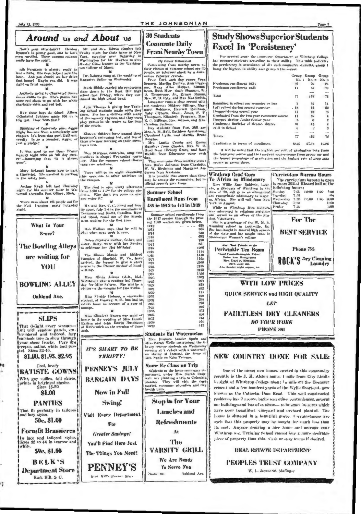Ħ

ı,

# THE JOHNSONIAN

|                                                                               | Around us and About us                                                                                                                          | <b>30 Students</b>                                                                                  | <b>Study Shows Superior Students</b>                                                                                                                          |
|-------------------------------------------------------------------------------|-------------------------------------------------------------------------------------------------------------------------------------------------|-----------------------------------------------------------------------------------------------------|---------------------------------------------------------------------------------------------------------------------------------------------------------------|
| How's your attendance? Headen                                                 | Mr. and Mrs. Edwin Hughes lett                                                                                                                  | <b>Commute Daily</b>                                                                                | <b>Excel In 'Persistency'</b>                                                                                                                                 |
| even enrolled. These campus courses<br>really have the spirit.                | Bynum's is plenty good, and he isn't Friday night for their home in New<br>York, stopping over Saturday in<br>Washington for Mr. Hughes to give | <b>From Nearby Town</b><br><b><i>Hu SUSH</i></b> SHANNON                                            | For several years the commerce department at Winthrop College<br>has grouped students according to their ability. This table indicates                        |
| tib Ferguson is always ready to                                               | Master Class lessons at the Washing-<br>ton College of Music.                                                                                   | Commuting from nearby towns to<br>their classes at summer school are 30                             | the persistency in attendance of 317 such commerce students, group 1<br>being the highest in ability and group 3 the lowest.                                  |
| lend a hand. She even helped mow the<br>lawn. And you should see her drive    | Dr. Roberts sang at the wedding of                                                                                                              | people, an informal check by a Juhn-<br>santan reporter reveals.                                    | Group Group Group                                                                                                                                             |
| that horse! Maybe you did. It was<br>right on front canqua.                   | Murgaret Sadler on Wednesday,                                                                                                                   | From York each day comes Vera<br>Bennett, Martha Dunlap, Ann Clark-                                 | No. 1 No. 2 No. 3<br>Preshman emoliment 1934<br>76<br>79<br>39                                                                                                |
|                                                                               | Mark Biddle carried his conducting<br>class down to the Rock Hill high                                                                          | son, Mary Alice Hoppet, Simmle<br>Scott, Ruth Moss Susie Shannon, W.                                | Freshman enrollment 1935<br>41<br><b>BL3</b><br>39<br>$\sim$                                                                                                  |
| Anybody going to Charlotte? Sussa<br>Jones wants to go. She's gonna buy       | school last Friday, where they con-<br>ducted the high school band.                                                                             | D. Thomasson, Jr., Ernest Numm,<br>Mrs. W. D. Pate, and Mrs. Nat Smith.                             | <b>Tartal</b><br>77<br>162<br>78                                                                                                                              |
| some red shoes to go with her white<br>sharkskin skirt and red belt.          | Julia Thomas is giving her Train-                                                                                                               | Laneaster runs a close second with<br>ten students: Mildred Billings, Mar-                          | Remarined in school one seniester or less<br>$\mathbf{X}$<br>\$5<br>$\mathbf{u}$<br>Left rehool during second semester.<br>42<br>29<br>.18                    |
| How these boys do shine! Albert                                               | ing School students music while they<br>swim. She has a victrola with many                                                                      | garet Robinson, Harriett Robinson,<br>Ruby Clyburn, Susan Jones, P. F.                              | Dropped during second year.<br>싶은<br>16<br>11                                                                                                                 |
| (Einstein) Johnson sunde 100 on a<br>trig test. How 'bout that?               | of the nursery rhymes, and they even<br>play games in the water to the tune                                                                     | Thompson, Elizabeth Ferguson, Mrs.<br>K. C. Billings, Mrs. Allison, and Mrs.                        | Graduated from the two year commerce course<br>36<br>$\mathbf{11}$<br>4<br>Dropped during Junior-Senior year<br>$\mathbf{u}$<br>$\overline{\phantom{a}}$<br>7 |
| Speaking of frateraity pins, Aggie                                            | of the music.                                                                                                                                   | Carolina Jackson.<br>Day students from Fort Mill are                                                | Graduated Bachelor of Science degree<br>31<br>46<br>8<br>Still in School<br>$\overline{2}$<br>$\mathbf{u}$<br>3                                               |
| Rigby has one from a completely new<br>chapter. It's from that good Gulf uni- | Sixteen children have passed their                                                                                                              | Mrs. A. M. Hall, Kathleen Armstrong,<br>Cleveland Lytle, and Martha Bruce                           | $-4$<br>Totals<br>77<br>162<br>78                                                                                                                             |
| versity Is he a member, Aggie, or<br>just a pledge?                           | beginner's swimming test, and ten of<br>them are now working on their swim-                                                                     | Douglas.<br>Mrs. Lucille Crosby and Emma                                                            | Graduation in terms of enrollment<br>40.25<br>27.78<br>10.26                                                                                                  |
| It was good to see Dean Frazer                                                | mer's text.                                                                                                                                     | Hamilter from Chester, Mrs. W. C.<br>Hood from Hickory Grove, and Rose                              | It will be noted that the highest per cent of graduation both from                                                                                            |
| Sunday night with an "all day suck-<br>er"-lamenting that "it is almost       | Nan Sturgess, contralto, sang two<br>numbers in chapel Wednesday morn-                                                                          | Hicklin from Edgemour come each<br>day.                                                             | the four-year course and the two-year course comes from group one and<br>the lowest percentage of graduation and the highest rate of urop outs                |
| gune".                                                                        | tig. Also the summer school chorus<br>ang two selections.                                                                                       | They even come from another state:<br>Mrs. Rufus Juhnston from Charlotte,                           | occurs in group three.                                                                                                                                        |
| Mary Delwach knows how to park                                                | There will be no night swimming                                                                                                                 | W. W. Birdenun and Margaret An-<br>derson from Gastania.                                            |                                                                                                                                                               |
| a Chevrolet. She excelled in parking<br>in the safety test.                   | this week due to other activities on<br>the campus,                                                                                             | It is possible that others than these<br>may be among the commuters, but no To Africa as Missionary | <b>Winthrop Grad Goes</b><br>Curriculum Bureau Hours<br>The curriculum bureau is open                                                                         |
| Arthur Kraft left last Thursday                                               | The plast is open every afternoon                                                                                                               | official records give them.                                                                         | in room 302 of Kinard hall at the<br>Miss Willie Kate Babbwin, Laur-<br>following hunrs:<br>chs, a graduate of Winthrop in the                                |
| night for his summer home in Wa-<br>tervail (Areadia Post Office), Mich.      | from 3:30 to 4.20 for the college stu-<br>den.s. Why don't you come on over                                                                     | <b>Summer School</b>                                                                                | 7:30 12:00 1:00<br>Monday<br>class of '29, will go as an educational<br>1:101<br>and evangelistic missunary to Niger-<br>Tuesday<br>7:30<br>$-010$            |
| There were about 125 people out for                                           | nted enjoy it?                                                                                                                                  | <b>Enrollment Runs from</b>                                                                         | Wednesday<br>ta, Africa. She will sail from New<br>7:30<br>12:00 1:00<br>6:00<br>7:30<br>1:00                                                                 |
| the Folk Dancing party Suturday<br>night.                                     | Mr. and Mrs. C. C. Steed and fam-<br>ily spent July 2-4 in the mountains of                                                                     | 485 in 1912 to 443 in 1939                                                                          | Thur what<br>York in August.<br>7:30<br>Friday<br>1:00<br>While at Winthrop Miss Baldwin                                                                      |
|                                                                               | Tennessee and North Carolina. How<br>ard Steed, small son of the Steeds,                                                                        | Summer school enrollments from                                                                      | was interested in religious activities<br>and served as an officer of the Stu-                                                                                |
|                                                                               | went wading for the first time.                                                                                                                 | the 1912 session through the pres-<br>ent 1939 seadon are given below.                              | For The<br>dent Volunteers.<br>She is a graduate of the W. M. U.                                                                                              |
| What Is Your                                                                  | Bob Wallace says that he cill be                                                                                                                | 1912<br><b>505</b><br>1913                                                                          | Training school in Louisville, Ky.<br>She has taught in several high schools.                                                                                 |
| Score?                                                                        | glad when next week is over.                                                                                                                    | 620<br>1914<br>692<br>1915                                                                          | <b>BEST SERVICE</b><br>of the state and has taught Bible in<br>Mississippi Woman's college                                                                    |
|                                                                               | Helen Bryant's mather, futher, and<br>sister, Betty, were with her Sunday                                                                       | 798<br>1916<br>1861<br>1917                                                                         | Meet Your Friends at the                                                                                                                                      |
| The Bowling Alleys                                                            | to celebrate her 21st birthday.                                                                                                                 | <b>LONG</b><br>1918<br>1114<br>1919                                                                 | Phone 755<br>Periwinkle Tea Room                                                                                                                              |
| are waiting for                                                               | The Misses Maude and Mildred<br>Pamplen of Bluefield, W. Va., have                                                                              | 1448<br>1.理目<br>$15-16$<br>1921                                                                     | "tour Food-Reasonable Prices"<br>Under New Management<br>ROCK'S Dry Cleaning<br>Mrs. Ethel P. McManus                                                         |
| YOU                                                                           | arrived, the former to give a short<br>course in the Palmer method of hand-                                                                     | 2108<br>15/22<br>2135<br>1923                                                                       | Laundry<br>Upon every day,<br>Abse Senday night suppre, 6-5                                                                                                   |
|                                                                               | writing.                                                                                                                                        | 2125<br>1924<br>1'166<br>1:425                                                                      |                                                                                                                                                               |
|                                                                               | Miss Olivia Adams (A.B., M.A.<br>Winthrop) gave a reading las. Thurs-                                                                           | 1303<br>1926<br>907<br>1927                                                                         | <b>WITH LOW PRICES</b>                                                                                                                                        |
| <b>BOWLING ALLEY</b>                                                          | day for Miss Salters. She will be a<br>visitor on the enmpus for two weeks.                                                                     | 878<br>1928<br>832<br>1929                                                                          |                                                                                                                                                               |
| Oakland Ave.                                                                  | Miss Floride Holmes, a six-weeks                                                                                                                | 711<br>1930<br><b>UNITE</b><br>1931                                                                 | QUICK SERVICE and HIGH QUALITY                                                                                                                                |
|                                                                               | student, of Conway, S. C., has had to<br>return house on arcount of a ruse of                                                                   | 399<br>1932<br>276<br>1933                                                                          | <b>LET</b>                                                                                                                                                    |
|                                                                               | пациарк.                                                                                                                                        | 296<br>1934<br>3703<br>1935                                                                         |                                                                                                                                                               |
| <b>SLIPS</b>                                                                  | Miss Elizabeth Brown was maid of<br>hunor in the wedding of Miss Benzie                                                                         | 4U03<br>1936<br>444<br>1937                                                                         | <b>FAULTLESS DRY CLEANERS</b>                                                                                                                                 |
| That delight every woman-                                                     | Rankin and John Edwin Hutchison<br>of McCormick on the evening of June                                                                          | 466<br>1936<br>443<br>1939                                                                          | <b>DO YOUR WORK</b>                                                                                                                                           |
| All with shadow panels, em-1 seth.<br>broidered and tailored, lacy            |                                                                                                                                                 | <b>Students Eat Watermelon</b>                                                                      | <b>PHONE 881</b>                                                                                                                                              |
| camisole tops to show through                                                 |                                                                                                                                                 | Mrs. Frances Lander Spain and                                                                       |                                                                                                                                                               |
| your sheer frocks. Pure dye,<br>crepes, satins, white and pas-                | <b>IT'S SMART TO BE</b>                                                                                                                         | Miss Sarah Wells entertained the li-<br>brary science students on Wednesday                         |                                                                                                                                                               |
| tel. Sizes 32-40.<br>81.00.81.95.82.95                                        | <b>THRIFTY!</b>                                                                                                                                 | evening at 7 o'clock with a waterned-<br>on shring at Inwood, the home of                           | <b>NEW COUNTRY HOME FOR SALE:</b>                                                                                                                             |
|                                                                               |                                                                                                                                                 | Mrs. Spain on Eden Terrace.                                                                         |                                                                                                                                                               |
| Cool, lovely<br><b>BATISTE GOWNS</b>                                          | PENNEY'S JULY                                                                                                                                   | Home Ec Class on Trip<br>Syndents in the home economics de-                                         | One of the nicest new homes erected in this community                                                                                                         |
|                                                                               |                                                                                                                                                 | partment, under Miss Sarzh Crag-<br>wali are planning a trip to Columbia                            | recently is the J. M. Alston home, I mile from City Limits                                                                                                    |
| With gay ruffles, full skirts,<br>prints in brightest shades.                 | <b>BARGAIN DAYS</b>                                                                                                                             | Monday. They will visit the curb<br>market, consumer education and city                             | in sight of Winthrop College about $\mathbb{I}_2$ mile off the Ebenezer                                                                                       |
| <b>Sizes 15-20</b><br>\$1.00                                                  | <b>Now in Full</b>                                                                                                                              | health units.                                                                                       | cement and a few hundred yards of the Wylie Short-cut, now                                                                                                    |
|                                                                               |                                                                                                                                                 |                                                                                                     | known as the Catawba Dam Road. This well constructed<br>residence has 7 rooms, baths and other conveniences, several                                          |
| <b>PANTIES</b>                                                                | Swing!                                                                                                                                          | <b>Stop in for Your</b>                                                                             | out buildings and lots of outdoors— to be exact 16 acres which                                                                                                |
| That fit perfectly in tailored!<br>and lacy styles.                           | Visit Every Department                                                                                                                          | <b>Lunches</b> and                                                                                  | have been beautified, vineyard and orchard planted. The                                                                                                       |
| 50c, \$1.00                                                                   |                                                                                                                                                 | <b>Refreshments</b>                                                                                 | house is situated in a beautiful grove. Circumstances are<br>such that this property may be bought for much less than                                         |
| <b>Formfit Brassieres</b>                                                     | For                                                                                                                                             |                                                                                                     | its cast. Anyone desiring a nice home and acreage near                                                                                                        |
| In lace and tailored styles.                                                  | <b>Greater Savings!</b>                                                                                                                         | At                                                                                                  | Winthrop and Training School cannot buy a more desirable                                                                                                      |
| Sizes 32 to 44 in tearose and                                                 | You'll Find Here Just                                                                                                                           | The                                                                                                 | piece of property than this. Cash or easy terms if desired.                                                                                                   |
| white.<br>59c, \$1.00                                                         | The Things You Need!                                                                                                                            | <b>VARSITY GRILL</b>                                                                                | REAL ESTATE DEPARTMENT                                                                                                                                        |
|                                                                               |                                                                                                                                                 | We Are Ready                                                                                        |                                                                                                                                                               |
| <b>BELK'S</b>                                                                 | PENNEY'S                                                                                                                                        | To Serve You                                                                                        | PEOPLES TRUST COMPANY                                                                                                                                         |
| <b>Department Store</b>                                                       |                                                                                                                                                 | tiakland Ave.<br>Phone 801                                                                          | W. L. JENKINS, Manager                                                                                                                                        |
| Rock Hill, S. C.                                                              | Rock Hill's Busiest Store                                                                                                                       |                                                                                                     |                                                                                                                                                               |